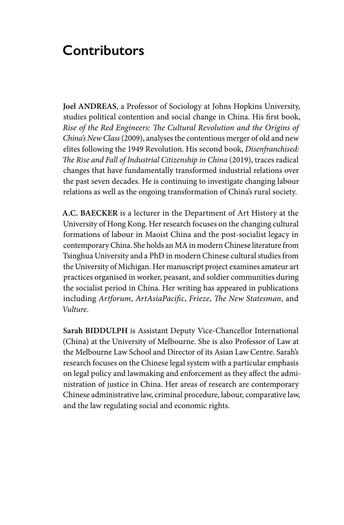# **Contributors**

**Joel ANDREAS**, a Professor of Sociology at Johns Hopkins University, studies political contention and social change in China. His first book, *Rise of the Red Engineers: The Cultural Revolution and the Origins of China's New Class* (2009), analyses the contentious merger of old and new elites following the 1949 Revolution. His second book, *Disenfranchised: The Rise and Fall of Industrial Citizenship in China* (2019), traces radical changes that have fundamentally transformed industrial relations over the past seven decades. He is continuing to investigate changing labour relations as well as the ongoing transformation of China's rural society.

**A.C. BAECKER** is a lecturer in the Department of Art History at the University of Hong Kong. Her research focuses on the changing cultural formations of labour in Maoist China and the post-socialist legacy in contemporary China. She holds an MA in modern Chinese literature from Tsinghua University and a PhD in modern Chinese cultural studies from the University of Michigan. Her manuscript project examines amateur art practices organised in worker, peasant, and soldier communities during the socialist period in China. Her writing has appeared in publications including *Artforum*, *ArtAsiaPacific*, *Frieze*, *The New Statesman*, and *Vulture*.

**Sarah BIDDULPH** is Assistant Deputy Vice-Chancellor International (China) at the University of Melbourne. She is also Professor of Law at the Melbourne Law School and Director of its Asian Law Centre. Sarah's research focuses on the Chinese legal system with a particular emphasis on legal policy and lawmaking and enforcement as they affect the administration of justice in China. Her areas of research are contemporary Chinese administrative law, criminal procedure, labour, comparative law, and the law regulating social and economic rights.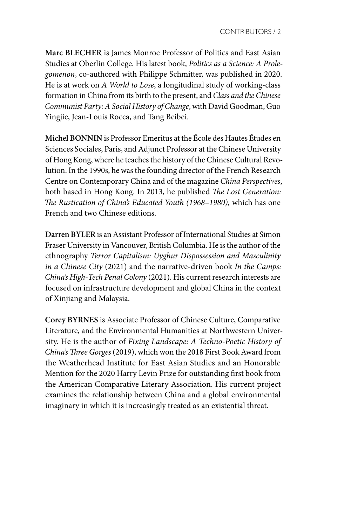**Marc BLECHER** is James Monroe Professor of Politics and East Asian Studies at Oberlin College. His latest book, *Politics as a Science: A Prolegomenon*, co-authored with Philippe Schmitter, was published in 2020. He is at work on *A World to Lose*, a longitudinal study of working-class formation in China from its birth to the present, and *Class and the Chinese Communist Party: A Social History of Change*, with David Goodman, Guo Yingjie, Jean-Louis Rocca, and Tang Beibei.

**Michel BONNIN** is Professor Emeritus at the École des Hautes Études en Sciences Sociales, Paris, and Adjunct Professor at the Chinese University of Hong Kong, where he teaches the history of the Chinese Cultural Revolution. In the 1990s, he was the founding director of the French Research Centre on Contemporary China and of the magazine *China Perspectives*, both based in Hong Kong. In 2013, he published *The Lost Generation: The Rustication of China's Educated Youth (1968–1980)*, which has one French and two Chinese editions.

**Darren BYLER** is an Assistant Professor of International Studies at Simon Fraser University in Vancouver, British Columbia. He is the author of the ethnography *Terror Capitalism: Uyghur Dispossession and Masculinity in a Chinese City* (2021) and the narrative-driven book *In the Camps: China's High-Tech Penal Colony* (2021). His current research interests are focused on infrastructure development and global China in the context of Xinjiang and Malaysia.

**Corey BYRNES** is Associate Professor of Chinese Culture, Comparative Literature, and the Environmental Humanities at Northwestern University. He is the author of *Fixing Landscape: A Techno-Poetic History of China's Three Gorges* (2019), which won the 2018 First Book Award from the Weatherhead Institute for East Asian Studies and an Honorable Mention for the 2020 Harry Levin Prize for outstanding first book from the American Comparative Literary Association. His current project examines the relationship between China and a global environmental imaginary in which it is increasingly treated as an existential threat.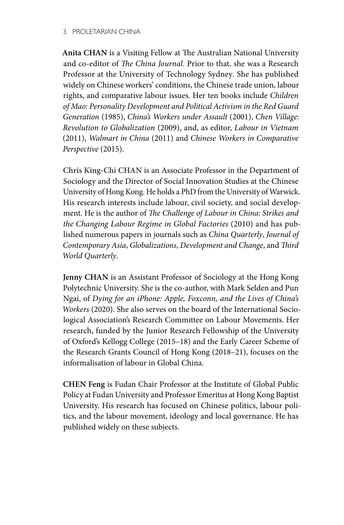**Anita CHAN** is a Visiting Fellow at The Australian National University and co-editor of *The China Journal*. Prior to that, she was a Research Professor at the University of Technology Sydney*.* She has published widely on Chinese workers' conditions, the Chinese trade union, labour rights, and comparative labour issues. Her ten books include *Children of Mao: Personality Development and Political Activism in the Red Guard Generation* (1985), *China's Workers under Assault* (2001), *Chen Village: Revolution to Globalization* (2009), and, as editor, *Labour in Vietnam* (2011), *Walmart in China* (2011) and *Chinese Workers in Comparative Perspective* (2015).

**Chris King-Chi CHAN** is an Associate Professor in the Department of Sociology and the Director of Social Innovation Studies at the Chinese University of Hong Kong. He holds a PhD from the University of Warwick. His research interests include labour, civil society, and social development. He is the author of *The Challenge of Labour in China: Strikes and the Changing Labour Regime in Global Factories* (2010) and has published numerous papers in journals such as *China Quarterly*, *Journal of Contemporary Asia*, *Globalizations*, *Development and Change*, and *Third World Quarterly*.

**Jenny CHAN** is an Assistant Professor of Sociology at the Hong Kong Polytechnic University. She is the co-author, with Mark Selden and Pun Ngai, of *Dying for an iPhone: Apple, Foxconn, and the Lives of China's Workers* (2020). She also serves on the board of the International Sociological Association's Research Committee on Labour Movements. Her research, funded by the Junior Research Fellowship of the University of Oxford's Kellogg College (2015–18) and the Early Career Scheme of the Research Grants Council of Hong Kong (2018–21), focuses on the informalisation of labour in Global China.

**CHEN Feng** is Fudan Chair Professor at the Institute of Global Public Policy at Fudan University and Professor Emeritus at Hong Kong Baptist University. His research has focused on Chinese politics, labour politics, and the labour movement, ideology and local governance. He has published widely on these subjects.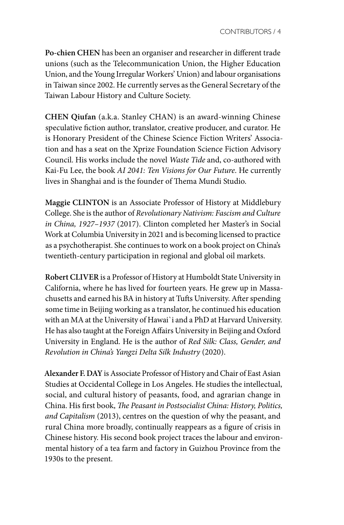**Po-chien CHEN** has been an organiser and researcher in different trade unions (such as the Telecommunication Union, the Higher Education Union, and the Young Irregular Workers' Union) and labour organisations in Taiwan since 2002. He currently serves as the General Secretary of the Taiwan Labour History and Culture Society.

**CHEN Qiufan** (a.k.a. Stanley CHAN) is an award-winning Chinese speculative fiction author, translator, creative producer, and curator. He is Honorary President of the Chinese Science Fiction Writers' Association and has a seat on the Xprize Foundation Science Fiction Advisory Council. His works include the novel *Waste Tide* and, co-authored with Kai-Fu Lee, the book *AI 2041: Ten Visions for Our Future*. He currently lives in Shanghai and is the founder of Thema Mundi Studio.

**Maggie CLINTON** is an Associate Professor of History at Middlebury College. She is the author of *Revolutionary Nativism: Fascism and Culture in China, 1927–1937* (2017). Clinton completed her Master's in Social Work at Columbia University in 2021 and is becoming licensed to practice as a psychotherapist. She continues to work on a book project on China's twentieth-century participation in regional and global oil markets.

**Robert CLIVER** is a Professor of History at Humboldt State University in California, where he has lived for fourteen years. He grew up in Massachusetts and earned his BA in history at Tufts University. After spending some time in Beijing working as a translator, he continued his education with an MA at the University of Hawai`i and a PhD at Harvard University. He has also taught at the Foreign Affairs University in Beijing and Oxford University in England. He is the author of *Red Silk: Class, Gender, and Revolution in China's Yangzi Delta Silk Industry* (2020).

**Alexander F. DAY** is Associate Professor of History and Chair of East Asian Studies at Occidental College in Los Angeles. He studies the intellectual, social, and cultural history of peasants, food, and agrarian change in China. His first book, *The Peasant in Postsocialist China: History, Politics, and Capitalism* (2013), centres on the question of why the peasant, and rural China more broadly, continually reappears as a figure of crisis in Chinese history. His second book project traces the labour and environmental history of a tea farm and factory in Guizhou Province from the 1930s to the present.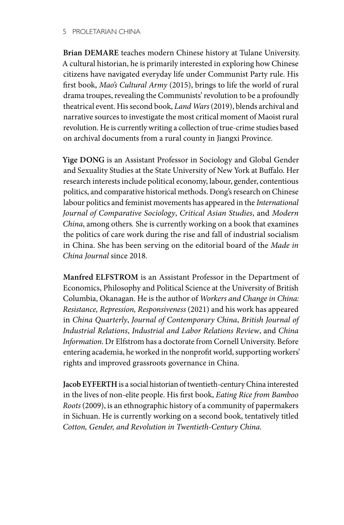**Brian DEMARE** teaches modern Chinese history at Tulane University. A cultural historian, he is primarily interested in exploring how Chinese citizens have navigated everyday life under Communist Party rule. His first book, *Mao's Cultural Army* (2015), brings to life the world of rural drama troupes, revealing the Communists' revolution to be a profoundly theatrical event. His second book, *Land Wars* (2019), blends archival and narrative sources to investigate the most critical moment of Maoist rural revolution. He is currently writing a collection of true-crime studies based on archival documents from a rural county in Jiangxi Province.

**Yige DONG** is an Assistant Professor in Sociology and Global Gender and Sexuality Studies at the State University of New York at Buffalo. Her research interests include political economy, labour, gender, contentious politics, and comparative historical methods. Dong's research on Chinese labour politics and feminist movements has appeared in the *International Journal of Comparative Sociology*, *Critical Asian Studies*, and *Modern China*, among others*.* She is currently working on a book that examines the politics of care work during the rise and fall of industrial socialism in China. She has been serving on the editorial board of the *Made in China Journal* since 2018.

**Manfred ELFSTROM** is an Assistant Professor in the Department of Economics, Philosophy and Political Science at the University of British Columbia, Okanagan. He is the author of *Workers and Change in China: Resistance, Repression, Responsiveness* (2021) and his work has appeared in *China Quarterly*, *Journal of Contemporary China*, *British Journal of Industrial Relations*, *Industrial and Labor Relations Review*, and *China Information*. Dr Elfstrom has a doctorate from Cornell University. Before entering academia, he worked in the nonprofit world, supporting workers' rights and improved grassroots governance in China.

**Jacob EYFERTH** is a social historian of twentieth-century China interested in the lives of non-elite people. His first book, *Eating Rice from Bamboo Roots* (2009), is an ethnographic history of a community of papermakers in Sichuan. He is currently working on a second book, tentatively titled *Cotton, Gender, and Revolution in Twentieth-Century China*.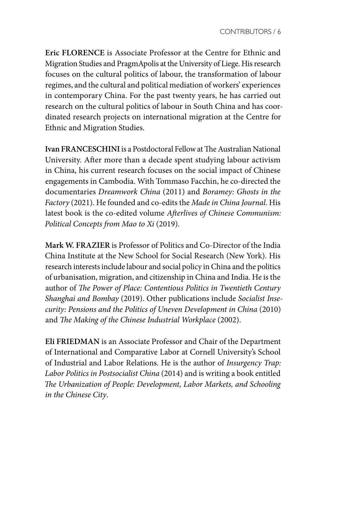**Eric FLORENCE** is Associate Professor at the Centre for Ethnic and Migration Studies and PragmApolis at the University of Liege. His research focuses on the cultural politics of labour, the transformation of labour regimes, and the cultural and political mediation of workers' experiences in contemporary China. For the past twenty years, he has carried out research on the cultural politics of labour in South China and has coordinated research projects on international migration at the Centre for Ethnic and Migration Studies.

**Ivan FRANCESCHINI** is a Postdoctoral Fellow at The Australian National University. After more than a decade spent studying labour activism in China, his current research focuses on the social impact of Chinese engagements in Cambodia. With Tommaso Facchin, he co-directed the documentaries *Dreamwork China* (2011) and *Boramey: Ghosts in the Factory* (2021). He founded and co-edits the *Made in China Journal*. His latest book is the co-edited volume *Afterlives of Chinese Communism: Political Concepts from Mao to Xi* (2019).

**Mark W. FRAZIER** is Professor of Politics and Co-Director of the India China Institute at the New School for Social Research (New York). His research interests include labour and social policy in China and the politics of urbanisation, migration, and citizenship in China and India. He is the author of *The Power of Place: Contentious Politics in Twentieth Century Shanghai and Bombay* (2019). Other publications include *Socialist Insecurity: Pensions and the Politics of Uneven Development in China* (2010) and *The Making of the Chinese Industrial Workplace* (2002).

**Eli FRIEDMAN** is an Associate Professor and Chair of the Department of International and Comparative Labor at Cornell University's School of Industrial and Labor Relations. He is the author of *Insurgency Trap: Labor Politics in Postsocialist China* (2014) and is writing a book entitled *The Urbanization of People: Development, Labor Markets, and Schooling in the Chinese City*.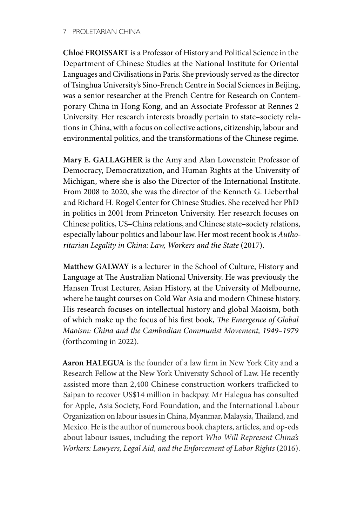**Chloé FROISSART** is a Professor of History and Political Science in the Department of Chinese Studies at the National Institute for Oriental Languages and Civilisations in Paris. She previously served as the director of Tsinghua University's Sino-French Centre in Social Sciences in Beijing, was a senior researcher at the French Centre for Research on Contemporary China in Hong Kong, and an Associate Professor at Rennes 2 University. Her research interests broadly pertain to state–society relations in China, with a focus on collective actions, citizenship, labour and environmental politics, and the transformations of the Chinese regime.

**Mary E. GALLAGHER** is the Amy and Alan Lowenstein Professor of Democracy, Democratization, and Human Rights at the University of Michigan, where she is also the Director of the International Institute. From 2008 to 2020, she was the director of the Kenneth G. Lieberthal and Richard H. Rogel Center for Chinese Studies. She received her PhD in politics in 2001 from Princeton University. Her research focuses on Chinese politics, US–China relations, and Chinese state–society relations, especially labour politics and labour law. Her most recent book is *Authoritarian Legality in China: Law, Workers and the State* (2017).

**Matthew GALWAY** is a lecturer in the School of Culture, History and Language at The Australian National University. He was previously the Hansen Trust Lecturer, Asian History, at the University of Melbourne, where he taught courses on Cold War Asia and modern Chinese history. His research focuses on intellectual history and global Maoism, both of which make up the focus of his first book, *The Emergence of Global Maoism: China and the Cambodian Communist Movement, 1949–1979* (forthcoming in 2022).

**Aaron HALEGUA** is the founder of a law firm in New York City and a Research Fellow at the New York University School of Law. He recently assisted more than 2,400 Chinese construction workers trafficked to Saipan to recover US\$14 million in backpay. Mr Halegua has consulted for Apple, Asia Society, Ford Foundation, and the International Labour Organization on labour issues in China, Myanmar, Malaysia, Thailand, and Mexico. He is the author of numerous book chapters, articles, and op-eds about labour issues, including the report *Who Will Represent China's Workers: Lawyers, Legal Aid, and the Enforcement of Labor Rights* (2016).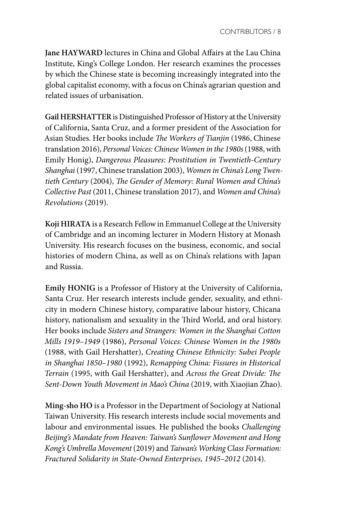**Jane HAYWARD** lectures in China and Global Affairs at the Lau China Institute, King's College London. Her research examines the processes by which the Chinese state is becoming increasingly integrated into the global capitalist economy, with a focus on China's agrarian question and related issues of urbanisation.

**Gail HERSHATTER** is Distinguished Professor of History at the University of California, Santa Cruz, and a former president of the Association for Asian Studies. Her books include *The Workers of Tianjin* (1986, Chinese translation 2016), *Personal Voices: Chinese Women in the 1980s* (1988, with Emily Honig), *Dangerous Pleasures: Prostitution in Twentieth-Century Shanghai* (1997, Chinese translation 2003), *Women in China's Long Twentieth Century* (2004), *The Gender of Memory: Rural Women and China's Collective Past* (2011, Chinese translation 2017), and *Women and China's Revolutions* (2019).

**Koji HIRATA** is a Research Fellow in Emmanuel College at the University of Cambridge and an incoming lecturer in Modern History at Monash University. His research focuses on the business, economic, and social histories of modern China, as well as on China's relations with Japan and Russia.

**Emily HONIG** is a Professor of History at the University of California, Santa Cruz. Her research interests include gender, sexuality, and ethnicity in modern Chinese history, comparative labour history, Chicana history, nationalism and sexuality in the Third World, and oral history. Her books include *Sisters and Strangers: Women in the Shanghai Cotton Mills 1919–1949* (1986), *Personal Voices: Chinese Women in the 1980s*  (1988, with Gail Hershatter), *Creating Chinese Ethnicity: Subei People in Shanghai 1850–1980* (1992), *Remapping China: Fissures in Historical Terrain* (1995, with Gail Hershatter), and *Across the Great Divide: The Sent-Down Youth Movement in Mao's China* (2019, with Xiaojian Zhao).

**Ming-sho HO** is a Professor in the Department of Sociology at National Taiwan University. His research interests include social movements and labour and environmental issues. He published the books *Challenging Beijing's Mandate from Heaven: Taiwan's Sunflower Movement and Hong Kong's Umbrella Movement* (2019) and *Taiwan's Working Class Formation: Fractured Solidarity in State-Owned Enterprises, 1945–2012* (2014).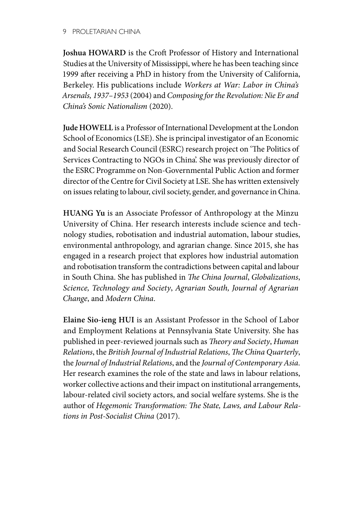**Joshua HOWARD** is the Croft Professor of History and International Studies at the University of Mississippi, where he has been teaching since 1999 after receiving a PhD in history from the University of California, Berkeley. His publications include *Workers at War: Labor in China's Arsenals, 1937–1953* (2004) and *Composing for the Revolution: Nie Er and China's Sonic Nationalism* (2020).

**Jude HOWELL** is a Professor of International Development at the London School of Economics (LSE). She is principal investigator of an Economic and Social Research Council (ESRC) research project on 'The Politics of Services Contracting to NGOs in China'. She was previously director of the ESRC Programme on Non-Governmental Public Action and former director of the Centre for Civil Society at LSE. She has written extensively on issues relating to labour, civil society, gender, and governance in China.

**HUANG Yu** is an Associate Professor of Anthropology at the Minzu University of China. Her research interests include science and technology studies, robotisation and industrial automation, labour studies, environmental anthropology, and agrarian change. Since 2015, she has engaged in a research project that explores how industrial automation and robotisation transform the contradictions between capital and labour in South China. She has published in *The China Journal*, *Globalizations*, *Science, Technology and Society*, *Agrarian South, Journal of Agrarian Change*, and *Modern China*.

**Elaine Sio-ieng HUI** is an Assistant Professor in the School of Labor and Employment Relations at Pennsylvania State University. She has published in peer-reviewed journals such as *Theory and Society*, *Human Relations*, the *British Journal of Industrial Relations*, *The China Quarterly*, the *Journal of Industrial Relations*, and the *Journal of Contemporary Asia*. Her research examines the role of the state and laws in labour relations, worker collective actions and their impact on institutional arrangements, labour-related civil society actors, and social welfare systems. She is the author of *Hegemonic Transformation: The State, Laws, and Labour Relations in Post-Socialist China* (2017).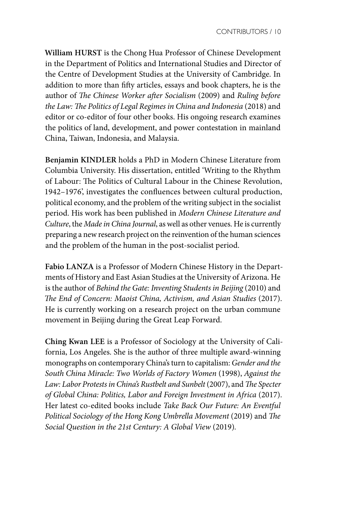**William HURST** is the Chong Hua Professor of Chinese Development in the Department of Politics and International Studies and Director of the Centre of Development Studies at the University of Cambridge. In addition to more than fifty articles, essays and book chapters, he is the author of *The Chinese Worker after Socialism* (2009) and *Ruling before the Law: The Politics of Legal Regimes in China and Indonesia* (2018) and editor or co-editor of four other books. His ongoing research examines the politics of land, development, and power contestation in mainland China, Taiwan, Indonesia, and Malaysia.

**Benjamin KINDLER** holds a PhD in Modern Chinese Literature from Columbia University. His dissertation, entitled 'Writing to the Rhythm of Labour: The Politics of Cultural Labour in the Chinese Revolution, 1942–1976', investigates the confluences between cultural production, political economy, and the problem of the writing subject in the socialist period. His work has been published in *Modern Chinese Literature and Culture*, the *Made in China Journal*, as well as other venues. He is currently preparing a new research project on the reinvention of the human sciences and the problem of the human in the post-socialist period.

**Fabio LANZA** is a Professor of Modern Chinese History in the Departments of History and East Asian Studies at the University of Arizona. He is the author of *Behind the Gate: Inventing Students in Beijing* (2010) and *The End of Concern: Maoist China, Activism, and Asian Studies* (2017). He is currently working on a research project on the urban commune movement in Beijing during the Great Leap Forward.

**Ching Kwan LEE** is a Professor of Sociology at the University of California, Los Angeles. She is the author of three multiple award-winning monographs on contemporary China's turn to capitalism: *Gender and the South China Miracle: Two Worlds of Factory Women* (1998), *Against the Law: Labor Protests in China's Rustbelt and Sunbelt* (2007), and *The Specter of Global China: Politics, Labor and Foreign Investment in Africa* (2017). Her latest co-edited books include *Take Back Our Future: An Eventful Political Sociology of the Hong Kong Umbrella Movement* (2019) and *The Social Question in the 21st Century: A Global View* (2019)*.*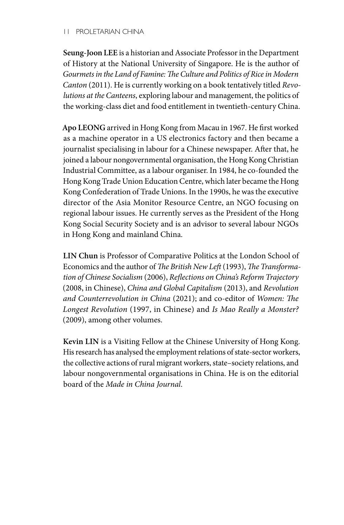**Seung-Joon LEE** is a historian and Associate Professor in the Department of History at the National University of Singapore. He is the author of *Gourmets in the Land of Famine: The Culture and Politics of Rice in Modern Canton* (2011). He is currently working on a book tentatively titled *Revolutions at the Canteens*, exploring labour and management, the politics of the working-class diet and food entitlement in twentieth-century China.

**Apo LEONG** arrived in Hong Kong from Macau in 1967. He first worked as a machine operator in a US electronics factory and then became a journalist specialising in labour for a Chinese newspaper. After that, he joined a labour nongovernmental organisation, the Hong Kong Christian Industrial Committee, as a labour organiser. In 1984, he co-founded the Hong Kong Trade Union Education Centre, which later became the Hong Kong Confederation of Trade Unions. In the 1990s, he was the executive director of the Asia Monitor Resource Centre, an NGO focusing on regional labour issues. He currently serves as the President of the Hong Kong Social Security Society and is an advisor to several labour NGOs in Hong Kong and mainland China.

**LIN Chun** is Professor of Comparative Politics at the London School of Economics and the author of *The British New Left* (1993), *The Transformation of Chinese Socialism* (2006), *Reflections on China's Reform Trajectory*  (2008, in Chinese), *China and Global Capitalism* (2013), and *Revolution and Counterrevolution in China* (2021); and co-editor of *Women: The Longest Revolution* (1997, in Chinese) and *Is Mao Really a Monster?*  (2009), among other volumes.

**Kevin LIN** is a Visiting Fellow at the Chinese University of Hong Kong. His research has analysed the employment relations of state-sector workers, the collective actions of rural migrant workers, state–society relations, and labour nongovernmental organisations in China. He is on the editorial board of the *Made in China Journal*.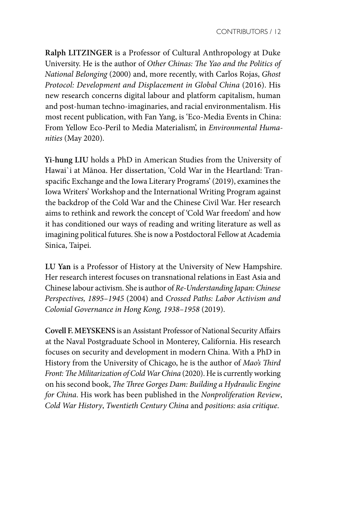**Ralph LITZINGER** is a Professor of Cultural Anthropology at Duke University. He is the author of *Other Chinas: The Yao and the Politics of National Belonging* (2000) and, more recently, with Carlos Rojas, *Ghost Protocol: Development and Displacement in Global China* (2016). His new research concerns digital labour and platform capitalism, human and post-human techno-imaginaries, and racial environmentalism. His most recent publication, with Fan Yang, is 'Eco-Media Events in China: From Yellow Eco-Peril to Media Materialism', in *Environmental Humanities* (May 2020).

**Yi-hung LIU** holds a PhD in American Studies from the University of Hawai`i at Mānoa. Her dissertation, 'Cold War in the Heartland: Transpacific Exchange and the Iowa Literary Programs' (2019), examines the Iowa Writers' Workshop and the International Writing Program against the backdrop of the Cold War and the Chinese Civil War. Her research aims to rethink and rework the concept of 'Cold War freedom' and how it has conditioned our ways of reading and writing literature as well as imagining political futures. She is now a Postdoctoral Fellow at Academia Sinica, Taipei.

**LU Yan** is a Professor of History at the University of New Hampshire. Her research interest focuses on transnational relations in East Asia and Chinese labour activism. She is author of *Re-Understanding Japan: Chinese Perspectives, 1895–1945* (2004) and *Crossed Paths: Labor Activism and Colonial Governance in Hong Kong, 1938–1958* (2019).

**Covell F. MEYSKENS** is an Assistant Professor of National Security Affairs at the Naval Postgraduate School in Monterey, California. His research focuses on security and development in modern China. With a PhD in History from the University of Chicago, he is the author of *Mao's Third Front: The Militarization of Cold War China* (2020). He is currently working on his second book, *The Three Gorges Dam: Building a Hydraulic Engine for China*. His work has been published in the *Nonproliferation Review*, *Cold War History*, *Twentieth Century China* and *positions: asia critique*.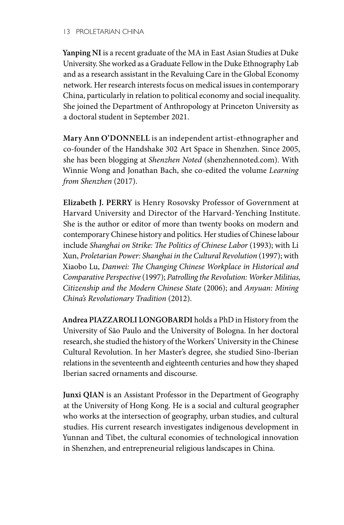**Yanping NI** is a recent graduate of the MA in East Asian Studies at Duke University. She worked as a Graduate Fellow in the Duke Ethnography Lab and as a research assistant in the Revaluing Care in the Global Economy network. Her research interests focus on medical issues in contemporary China, particularly in relation to political economy and social inequality. She joined the Department of Anthropology at Princeton University as a doctoral student in September 2021.

**Mary Ann O'DONNELL** is an independent artist-ethnographer and co-founder of the Handshake 302 Art Space in Shenzhen. Since 2005, she has been blogging at *Shenzhen Noted* (shenzhennoted.com). With Winnie Wong and Jonathan Bach, she co-edited the volume *Learning from Shenzhen* (2017).

**Elizabeth J. PERRY** is Henry Rosovsky Professor of Government at Harvard University and Director of the Harvard-Yenching Institute. She is the author or editor of more than twenty books on modern and contemporary Chinese history and politics. Her studies of Chinese labour include *Shanghai on Strike: The Politics of Chinese Labor* (1993); with Li Xun, *Proletarian Power: Shanghai in the Cultural Revolution* (1997); with Xiaobo Lu, *Danwei: The Changing Chinese Workplace in Historical and Comparative Perspective* (1997); *Patrolling the Revolution: Worker Militias, Citizenship and the Modern Chinese State* (2006); and *Anyuan: Mining China's Revolutionary Tradition* (2012).

**Andrea PIAZZAROLI LONGOBARDI** holds a PhD in History from the University of São Paulo and the University of Bologna. In her doctoral research, she studied the history of the Workers' University in the Chinese Cultural Revolution. In her Master's degree, she studied Sino-Iberian relations in the seventeenth and eighteenth centuries and how they shaped Iberian sacred ornaments and discourse.

**Junxi QIAN** is an Assistant Professor in the Department of Geography at the University of Hong Kong. He is a social and cultural geographer who works at the intersection of geography, urban studies, and cultural studies. His current research investigates indigenous development in Yunnan and Tibet, the cultural economies of technological innovation in Shenzhen, and entrepreneurial religious landscapes in China.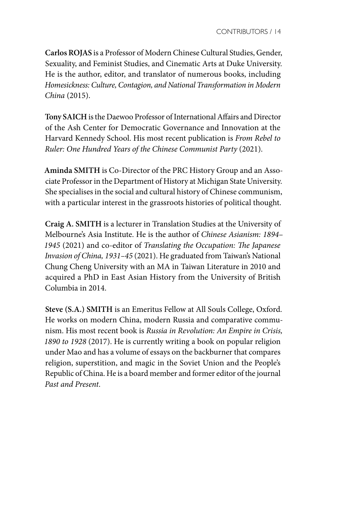**Carlos ROJAS** is a Professor of Modern Chinese Cultural Studies, Gender, Sexuality, and Feminist Studies, and Cinematic Arts at Duke University. He is the author, editor, and translator of numerous books, including *Homesickness: Culture, Contagion, and National Transformation in Modern China* (2015).

**Tony SAICH** is the Daewoo Professor of International Affairs and Director of the Ash Center for Democratic Governance and Innovation at the Harvard Kennedy School. His most recent publication is *From Rebel to Ruler: One Hundred Years of the Chinese Communist Party* (2021).

**Aminda SMITH** is Co-Director of the PRC History Group and an Associate Professor in the Department of History at Michigan State University. She specialises in the social and cultural history of Chinese communism, with a particular interest in the grassroots histories of political thought.

**Craig A. SMITH** is a lecturer in Translation Studies at the University of Melbourne's Asia Institute. He is the author of *Chinese Asianism: 1894– 1945* (2021) and co-editor of *Translating the Occupation: The Japanese Invasion of China, 1931–45* (2021). He graduated from Taiwan's National Chung Cheng University with an MA in Taiwan Literature in 2010 and acquired a PhD in East Asian History from the University of British Columbia in 2014.

**Steve (S.A.) SMITH** is an Emeritus Fellow at All Souls College, Oxford. He works on modern China, modern Russia and comparative communism. His most recent book is *Russia in Revolution: An Empire in Crisis, 1890 to 1928* (2017). He is currently writing a book on popular religion under Mao and has a volume of essays on the backburner that compares religion, superstition, and magic in the Soviet Union and the People's Republic of China. He is a board member and former editor of the journal *Past and Present*.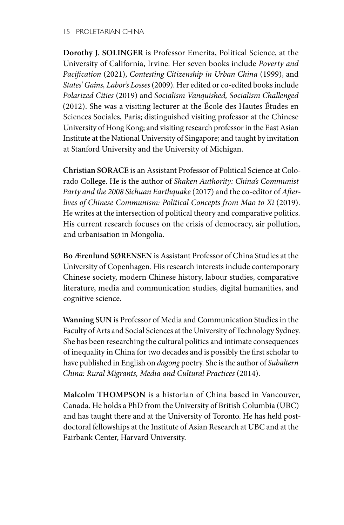**Dorothy J. SOLINGER** is Professor Emerita, Political Science, at the University of California, Irvine. Her seven books include *Poverty and Pacification* (2021), *Contesting Citizenship in Urban China* (1999), and *States' Gains, Labor's Losses* (2009). Her edited or co-edited books include *Polarized Cities* (2019) and *Socialism Vanquished, Socialism Challenged*  (2012). She was a visiting lecturer at the École des Hautes Études en Sciences Sociales, Paris; distinguished visiting professor at the Chinese University of Hong Kong; and visiting research professor in the East Asian Institute at the National University of Singapore; and taught by invitation at Stanford University and the University of Michigan.

**Christian SORACE** is an Assistant Professor of Political Science at Colorado College. He is the author of *Shaken Authority: China's Communist Party and the 2008 Sichuan Earthquake* (2017) and the co-editor of *Afterlives of Chinese Communism: Political Concepts from Mao to Xi* (2019). He writes at the intersection of political theory and comparative politics. His current research focuses on the crisis of democracy, air pollution, and urbanisation in Mongolia.

**Bo Ærenlund SØRENSEN** is Assistant Professor of China Studies at the University of Copenhagen. His research interests include contemporary Chinese society, modern Chinese history, labour studies, comparative literature, media and communication studies, digital humanities, and cognitive science.

**Wanning SUN** is Professor of Media and Communication Studies in the Faculty of Arts and Social Sciences at the University of Technology Sydney. She has been researching the cultural politics and intimate consequences of inequality in China for two decades and is possibly the first scholar to have published in English on *dagong* poetry. She is the author of *Subaltern China: Rural Migrants, Media and Cultural Practices* (2014).

**Malcolm THOMPSON** is a historian of China based in Vancouver, Canada. He holds a PhD from the University of British Columbia (UBC) and has taught there and at the University of Toronto. He has held postdoctoral fellowships at the Institute of Asian Research at UBC and at the Fairbank Center, Harvard University.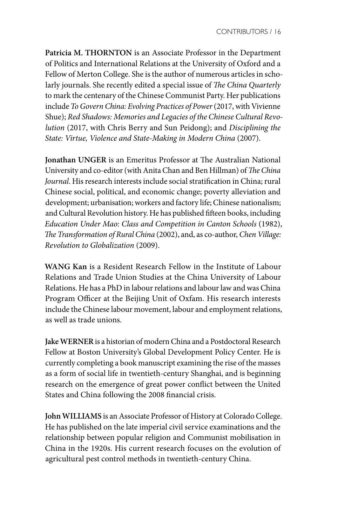**Patricia M. THORNTON** is an Associate Professor in the Department of Politics and International Relations at the University of Oxford and a Fellow of Merton College. She is the author of numerous articles in scholarly journals. She recently edited a special issue of *The China Quarterly*  to mark the centenary of the Chinese Communist Party. Her publications include *To Govern China: Evolving Practices of Power* (2017, with Vivienne Shue); *Red Shadows: Memories and Legacies of the Chinese Cultural Revolution* (2017, with Chris Berry and Sun Peidong); and *Disciplining the State: Virtue, Violence and State-Making in Modern China* (2007).

**Jonathan UNGER** is an Emeritus Professor at The Australian National University and co-editor (with Anita Chan and Ben Hillman) of *The China Journal*. His research interests include social stratification in China; rural Chinese social, political, and economic change; poverty alleviation and development; urbanisation; workers and factory life; Chinese nationalism; and Cultural Revolution history. He has published fifteen books, including *Education Under Mao: Class and Competition in Canton Schools* (1982), *The Transformation of Rural China* (2002), and, as co-author, *Chen Village: Revolution to Globalization* (2009).

**WANG Kan** is a Resident Research Fellow in the Institute of Labour Relations and Trade Union Studies at the China University of Labour Relations. He has a PhD in labour relations and labour law and was China Program Officer at the Beijing Unit of Oxfam. His research interests include the Chinese labour movement, labour and employment relations, as well as trade unions.

**Jake WERNER** is a historian of modern China and a Postdoctoral Research Fellow at Boston University's Global Development Policy Center. He is currently completing a book manuscript examining the rise of the masses as a form of social life in twentieth-century Shanghai, and is beginning research on the emergence of great power conflict between the United States and China following the 2008 financial crisis.

**John WILLIAMS** is an Associate Professor of History at Colorado College. He has published on the late imperial civil service examinations and the relationship between popular religion and Communist mobilisation in China in the 1920s. His current research focuses on the evolution of agricultural pest control methods in twentieth-century China.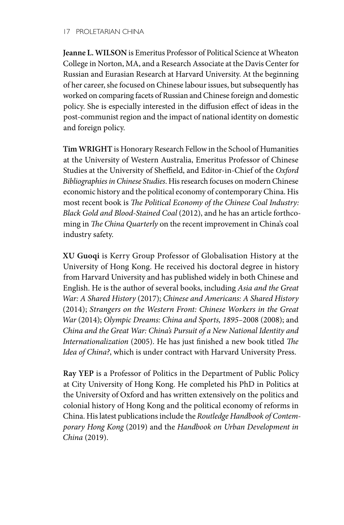**Jeanne L. WILSON** is Emeritus Professor of Political Science at Wheaton College in Norton, MA, and a Research Associate at the Davis Center for Russian and Eurasian Research at Harvard University. At the beginning of her career, she focused on Chinese labour issues, but subsequently has worked on comparing facets of Russian and Chinese foreign and domestic policy. She is especially interested in the diffusion effect of ideas in the post-communist region and the impact of national identity on domestic and foreign policy.

**Tim WRIGHT** is Honorary Research Fellow in the School of Humanities at the University of Western Australia, Emeritus Professor of Chinese Studies at the University of Sheffield, and Editor-in-Chief of the *Oxford Bibliographies in Chinese Studies*. His research focuses on modern Chinese economic history and the political economy of contemporary China. His most recent book is *The Political Economy of the Chinese Coal Industry: Black Gold and Blood-Stained Coal* (2012), and he has an article forthcoming in *The China Quarterly* on the recent improvement in China's coal industry safety.

**XU Guoqi** is Kerry Group Professor of Globalisation History at the University of Hong Kong. He received his doctoral degree in history from Harvard University and has published widely in both Chinese and English. He is the author of several books, including *Asia and the Great War: A Shared History* (2017); *Chinese and Americans: A Shared History* (2014); *Strangers on the Western Front: Chinese Workers in the Great War* (2014); *Olympic Dreams: China and Sports, 1895–*2008 (2008); and *China and the Great War: China's Pursuit of a New National Identity and Internationalization* (2005). He has just finished a new book titled *The Idea of China?*, which is under contract with Harvard University Press.

**Ray YEP** is a Professor of Politics in the Department of Public Policy at City University of Hong Kong. He completed his PhD in Politics at the University of Oxford and has written extensively on the politics and colonial history of Hong Kong and the political economy of reforms in China. His latest publications include the *Routledge Handbook of Contemporary Hong Kong* (2019) and the *Handbook on Urban Development in China* (2019).